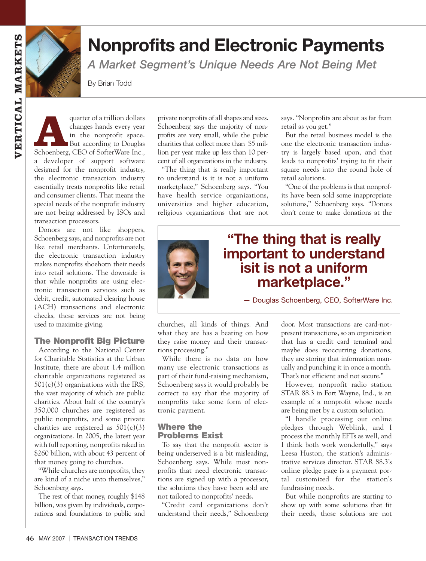

# **Nonprofits and Electronic Payments**

*A Market Segment's Unique Needs Are Not Being Met* 

By Brian Todd

quarter of a trillion dollars<br>
changes hands every year<br>
in the nonprofit space.<br>
But according to Douglas<br>
Schoenberg, CEO of SofterWare Inc., changes hands every year in the nonprofit space. But according to Douglas a developer of support software designed for the nonprofit industry, the electronic transaction industry essentially treats nonprofits like retail and consumer clients. That means the special needs of the nonprofit industry are not being addressed by ISOs and transaction processors.

Donors are not like shoppers, Schoenberg says, and nonprofits are not like retail merchants. Unfortunately, the electronic transaction industry makes nonprofits shoehorn their needs into retail solutions. The downside is that while nonprofits are using electronic transaction services such as debit, credit, automated clearing house (ACH) transactions and electronic checks, those services are not being used to maximize giving.

#### **The Nonprofit Big Picture**

According to the National Center for Charitable Statistics at the Urban Institute, there are about 1.4 million charitable organizations registered as  $501(c)(3)$  organizations with the IRS, the vast majority of which are public charities. About half of the country's 350,000 churches are registered as public nonprofits, and some private charities are registered as  $501(c)(3)$ organizations. In 2005, the latest year with full reporting, nonprofits raked in \$260 billion, with about 43 percent of that money going to churches.

"While churches are nonprofits, they are kind of a niche unto themselves," Schoenberg says.

The rest of that money, roughly \$148 billion, was given by individuals, corporations and foundations to public and private nonprofits of all shapes and sizes. Schoenberg says the majority of nonprofits are very small, while the pubic charities that collect more than \$5 million per year make up less than 10 percent of all organizations in the industry.

"The thing that is really important to understand is it is not a uniform marketplace," Schoenberg says. "You have health service organizations, universities and higher education, religious organizations that are not says. "Nonprofits are about as far from retail as you get."

But the retail business model is the one the electronic transaction industry is largely based upon, and that leads to nonprofits' trying to fit their square needs into the round hole of retail solutions.

"One of the problems is that nonprofits have been sold some inappropriate solutions," Schoenberg says. "Donors don't come to make donations at the

## **"The thing that is really important to understand isit is not a uniform marketplace."**

— Douglas Schoenberg, CEO, SofterWare Inc.

churches, all kinds of things. And what they are has a bearing on how they raise money and their transactions processing."

While there is no data on how many use electronic transactions as part of their fund-raising mechanism, Schoenberg says it would probably be correct to say that the majority of nonprofits take some form of electronic payment.

### **Where the Problems Exist**

To say that the nonprofit sector is being underserved is a bit misleading, Schoenberg says. While most nonprofits that need electronic transactions are signed up with a processor, the solutions they have been sold are not tailored to nonprofits' needs.

"Credit card organizations don't understand their needs," Schoenberg door. Most transactions are card-notpresent transactions, so an organization that has a credit card terminal and maybe does reoccurring donations, they are storing that information manually and punching it in once a month. That's not efficient and not secure."

However, nonprofit radio station STAR 88.3 in Fort Wayne, Ind., is an example of a nonprofit whose needs are being met by a custom solution.

"I handle processing our online pledges through Weblink, and I process the monthly EFTs as well, and I think both work wonderfully," says Leesa Huston, the station's administrative services director. STAR 88.3's online pledge page is a payment portal customized for the station's fundraising needs.

But while nonprofits are starting to show up with some solutions that fit their needs, those solutions are not